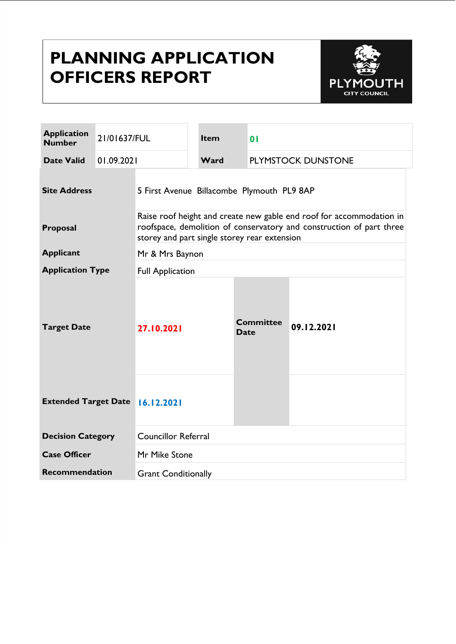# **PLANNING APPLICATION OFFICERS REPORT**



| <b>Application</b><br><b>Number</b> | 21/01637/FUL |                                                                                                                                                                                              | Item | 0 <sub>l</sub>                  |                    |  |
|-------------------------------------|--------------|----------------------------------------------------------------------------------------------------------------------------------------------------------------------------------------------|------|---------------------------------|--------------------|--|
| <b>Date Valid</b>                   | 01.09.2021   |                                                                                                                                                                                              | Ward |                                 | PLYMSTOCK DUNSTONE |  |
| <b>Site Address</b>                 |              | 5 First Avenue Billacombe Plymouth PL9 8AP                                                                                                                                                   |      |                                 |                    |  |
| Proposal                            |              | Raise roof height and create new gable end roof for accommodation in<br>roofspace, demolition of conservatory and construction of part three<br>storey and part single storey rear extension |      |                                 |                    |  |
| <b>Applicant</b>                    |              | Mr & Mrs Baynon                                                                                                                                                                              |      |                                 |                    |  |
| <b>Application Type</b>             |              | <b>Full Application</b>                                                                                                                                                                      |      |                                 |                    |  |
| <b>Target Date</b>                  |              | 27.10.2021                                                                                                                                                                                   |      | <b>Committee</b><br><b>Date</b> | 09.12.2021         |  |
| Extended Target Date 16.12.2021     |              |                                                                                                                                                                                              |      |                                 |                    |  |
| <b>Decision Category</b>            |              | <b>Councillor Referral</b>                                                                                                                                                                   |      |                                 |                    |  |
| <b>Case Officer</b>                 |              | Mr Mike Stone                                                                                                                                                                                |      |                                 |                    |  |
| <b>Recommendation</b>               |              | <b>Grant Conditionally</b>                                                                                                                                                                   |      |                                 |                    |  |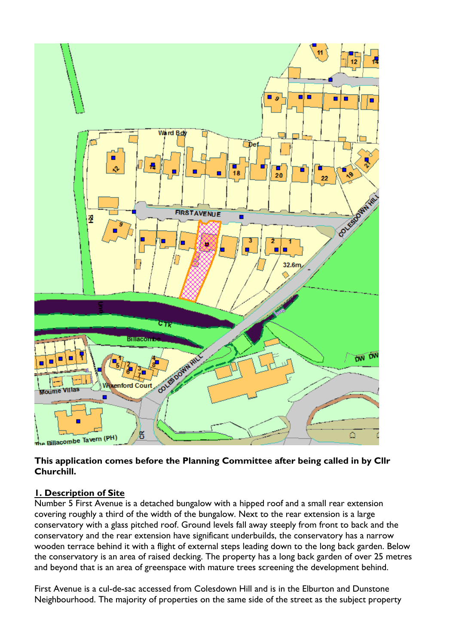

#### **This application comes before the Planning Committee after being called in by Cllr Churchill.**

## **1. Description of Site**

Number 5 First Avenue is a detached bungalow with a hipped roof and a small rear extension covering roughly a third of the width of the bungalow. Next to the rear extension is a large conservatory with a glass pitched roof. Ground levels fall away steeply from front to back and the conservatory and the rear extension have significant underbuilds, the conservatory has a narrow wooden terrace behind it with a flight of external steps leading down to the long back garden. Below the conservatory is an area of raised decking. The property has a long back garden of over 25 metres and beyond that is an area of greenspace with mature trees screening the development behind.

First Avenue is a cul-de-sac accessed from Colesdown Hill and is in the Elburton and Dunstone Neighbourhood. The majority of properties on the same side of the street as the subject property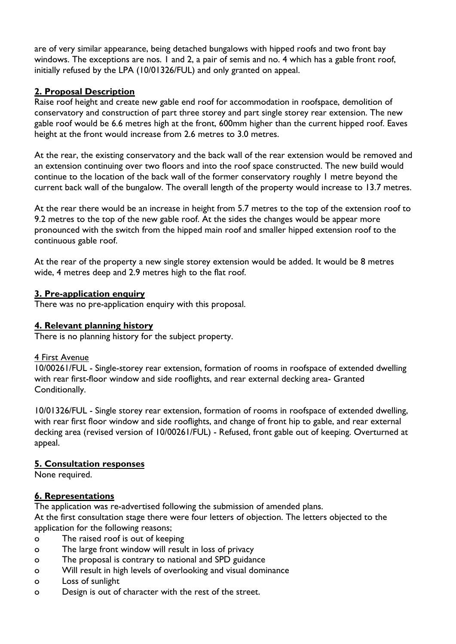are of very similar appearance, being detached bungalows with hipped roofs and two front bay windows. The exceptions are nos. I and 2, a pair of semis and no. 4 which has a gable front roof, initially refused by the LPA (10/01326/FUL) and only granted on appeal.

## **2. Proposal Description**

Raise roof height and create new gable end roof for accommodation in roofspace, demolition of conservatory and construction of part three storey and part single storey rear extension. The new gable roof would be 6.6 metres high at the front, 600mm higher than the current hipped roof. Eaves height at the front would increase from 2.6 metres to 3.0 metres.

At the rear, the existing conservatory and the back wall of the rear extension would be removed and an extension continuing over two floors and into the roof space constructed. The new build would continue to the location of the back wall of the former conservatory roughly 1 metre beyond the current back wall of the bungalow. The overall length of the property would increase to 13.7 metres.

At the rear there would be an increase in height from 5.7 metres to the top of the extension roof to 9.2 metres to the top of the new gable roof. At the sides the changes would be appear more pronounced with the switch from the hipped main roof and smaller hipped extension roof to the continuous gable roof.

At the rear of the property a new single storey extension would be added. It would be 8 metres wide, 4 metres deep and 2.9 metres high to the flat roof.

#### **3. Pre-application enquiry**

There was no pre-application enquiry with this proposal.

## **4. Relevant planning history**

There is no planning history for the subject property.

#### 4 First Avenue

10/00261/FUL - Single-storey rear extension, formation of rooms in roofspace of extended dwelling with rear first-floor window and side rooflights, and rear external decking area- Granted Conditionally.

10/01326/FUL - Single storey rear extension, formation of rooms in roofspace of extended dwelling, with rear first floor window and side rooflights, and change of front hip to gable, and rear external decking area (revised version of 10/00261/FUL) - Refused, front gable out of keeping. Overturned at appeal.

#### **5. Consultation responses**

None required.

#### **6. Representations**

The application was re-advertised following the submission of amended plans.

At the first consultation stage there were four letters of objection. The letters objected to the application for the following reasons;

- o The raised roof is out of keeping
- o The large front window will result in loss of privacy
- o The proposal is contrary to national and SPD guidance
- o Will result in high levels of overlooking and visual dominance
- o Loss of sunlight
- o Design is out of character with the rest of the street.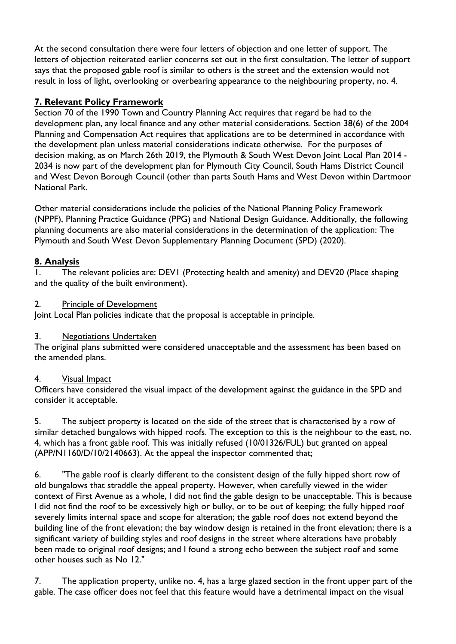At the second consultation there were four letters of objection and one letter of support. The letters of objection reiterated earlier concerns set out in the first consultation. The letter of support says that the proposed gable roof is similar to others is the street and the extension would not result in loss of light, overlooking or overbearing appearance to the neighbouring property, no. 4.

## **7. Relevant Policy Framework**

Section 70 of the 1990 Town and Country Planning Act requires that regard be had to the development plan, any local finance and any other material considerations. Section 38(6) of the 2004 Planning and Compensation Act requires that applications are to be determined in accordance with the development plan unless material considerations indicate otherwise. For the purposes of decision making, as on March 26th 2019, the Plymouth & South West Devon Joint Local Plan 2014 - 2034 is now part of the development plan for Plymouth City Council, South Hams District Council and West Devon Borough Council (other than parts South Hams and West Devon within Dartmoor National Park.

Other material considerations include the policies of the National Planning Policy Framework (NPPF), Planning Practice Guidance (PPG) and National Design Guidance. Additionally, the following planning documents are also material considerations in the determination of the application: The Plymouth and South West Devon Supplementary Planning Document (SPD) (2020).

# **8. Analysis**

1. The relevant policies are: DEV1 (Protecting health and amenity) and DEV20 (Place shaping and the quality of the built environment).

#### 2. Principle of Development

Joint Local Plan policies indicate that the proposal is acceptable in principle.

## 3. Negotiations Undertaken

The original plans submitted were considered unacceptable and the assessment has been based on the amended plans.

## 4. Visual Impact

Officers have considered the visual impact of the development against the guidance in the SPD and consider it acceptable.

5. The subject property is located on the side of the street that is characterised by a row of similar detached bungalows with hipped roofs. The exception to this is the neighbour to the east, no. 4, which has a front gable roof. This was initially refused (10/01326/FUL) but granted on appeal (APP/N1160/D/10/2140663). At the appeal the inspector commented that;

6. "The gable roof is clearly different to the consistent design of the fully hipped short row of old bungalows that straddle the appeal property. However, when carefully viewed in the wider context of First Avenue as a whole, I did not find the gable design to be unacceptable. This is because I did not find the roof to be excessively high or bulky, or to be out of keeping; the fully hipped roof severely limits internal space and scope for alteration; the gable roof does not extend beyond the building line of the front elevation; the bay window design is retained in the front elevation; there is a significant variety of building styles and roof designs in the street where alterations have probably been made to original roof designs; and I found a strong echo between the subject roof and some other houses such as No 12."

7. The application property, unlike no. 4, has a large glazed section in the front upper part of the gable. The case officer does not feel that this feature would have a detrimental impact on the visual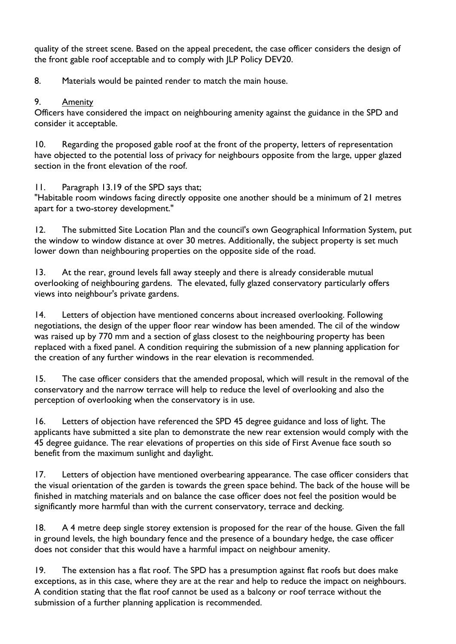quality of the street scene. Based on the appeal precedent, the case officer considers the design of the front gable roof acceptable and to comply with JLP Policy DEV20.

8. Materials would be painted render to match the main house.

## 9. Amenity

Officers have considered the impact on neighbouring amenity against the guidance in the SPD and consider it acceptable.

10. Regarding the proposed gable roof at the front of the property, letters of representation have objected to the potential loss of privacy for neighbours opposite from the large, upper glazed section in the front elevation of the roof.

11. Paragraph 13.19 of the SPD says that;

"Habitable room windows facing directly opposite one another should be a minimum of 21 metres apart for a two-storey development."

12. The submitted Site Location Plan and the council's own Geographical Information System, put the window to window distance at over 30 metres. Additionally, the subject property is set much lower down than neighbouring properties on the opposite side of the road.

13. At the rear, ground levels fall away steeply and there is already considerable mutual overlooking of neighbouring gardens. The elevated, fully glazed conservatory particularly offers views into neighbour's private gardens.

14. Letters of objection have mentioned concerns about increased overlooking. Following negotiations, the design of the upper floor rear window has been amended. The cil of the window was raised up by 770 mm and a section of glass closest to the neighbouring property has been replaced with a fixed panel. A condition requiring the submission of a new planning application for the creation of any further windows in the rear elevation is recommended.

15. The case officer considers that the amended proposal, which will result in the removal of the conservatory and the narrow terrace will help to reduce the level of overlooking and also the perception of overlooking when the conservatory is in use.

16. Letters of objection have referenced the SPD 45 degree guidance and loss of light. The applicants have submitted a site plan to demonstrate the new rear extension would comply with the 45 degree guidance. The rear elevations of properties on this side of First Avenue face south so benefit from the maximum sunlight and daylight.

17. Letters of objection have mentioned overbearing appearance. The case officer considers that the visual orientation of the garden is towards the green space behind. The back of the house will be finished in matching materials and on balance the case officer does not feel the position would be significantly more harmful than with the current conservatory, terrace and decking.

18. A 4 metre deep single storey extension is proposed for the rear of the house. Given the fall in ground levels, the high boundary fence and the presence of a boundary hedge, the case officer does not consider that this would have a harmful impact on neighbour amenity.

19. The extension has a flat roof. The SPD has a presumption against flat roofs but does make exceptions, as in this case, where they are at the rear and help to reduce the impact on neighbours. A condition stating that the flat roof cannot be used as a balcony or roof terrace without the submission of a further planning application is recommended.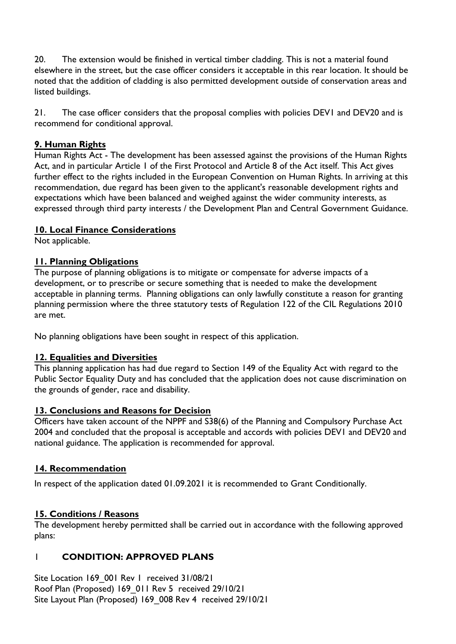20. The extension would be finished in vertical timber cladding. This is not a material found elsewhere in the street, but the case officer considers it acceptable in this rear location. It should be noted that the addition of cladding is also permitted development outside of conservation areas and listed buildings.

21. The case officer considers that the proposal complies with policies DEV1 and DEV20 and is recommend for conditional approval.

## **9. Human Rights**

Human Rights Act - The development has been assessed against the provisions of the Human Rights Act, and in particular Article 1 of the First Protocol and Article 8 of the Act itself. This Act gives further effect to the rights included in the European Convention on Human Rights. In arriving at this recommendation, due regard has been given to the applicant's reasonable development rights and expectations which have been balanced and weighed against the wider community interests, as expressed through third party interests / the Development Plan and Central Government Guidance.

#### **10. Local Finance Considerations**

Not applicable.

## **11. Planning Obligations**

The purpose of planning obligations is to mitigate or compensate for adverse impacts of a development, or to prescribe or secure something that is needed to make the development acceptable in planning terms. Planning obligations can only lawfully constitute a reason for granting planning permission where the three statutory tests of Regulation 122 of the CIL Regulations 2010 are met.

No planning obligations have been sought in respect of this application.

#### **12. Equalities and Diversities**

This planning application has had due regard to Section 149 of the Equality Act with regard to the Public Sector Equality Duty and has concluded that the application does not cause discrimination on the grounds of gender, race and disability.

#### **13. Conclusions and Reasons for Decision**

Officers have taken account of the NPPF and S38(6) of the Planning and Compulsory Purchase Act 2004 and concluded that the proposal is acceptable and accords with policies DEV1 and DEV20 and national guidance. The application is recommended for approval.

#### **14. Recommendation**

In respect of the application dated 01.09.2021 it is recommended to Grant Conditionally.

## **15. Conditions / Reasons**

The development hereby permitted shall be carried out in accordance with the following approved plans:

## 1 **CONDITION: APPROVED PLANS**

Site Location 169 001 Rev 1 received 31/08/21 Roof Plan (Proposed) 169\_011 Rev 5 received 29/10/21 Site Layout Plan (Proposed) 169\_008 Rev 4 received 29/10/21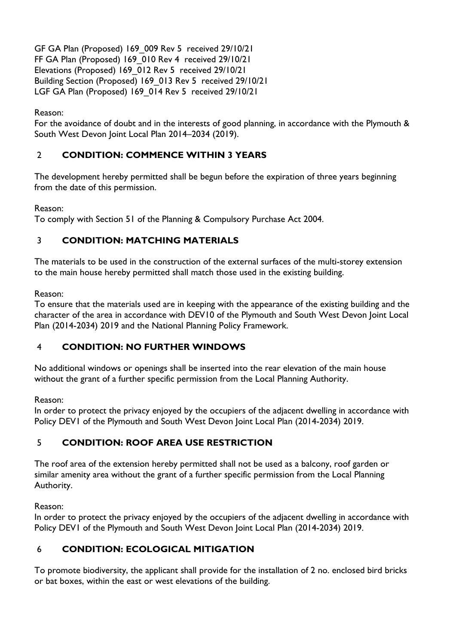GF GA Plan (Proposed) 169\_009 Rev 5 received 29/10/21 FF GA Plan (Proposed) 169\_010 Rev 4 received 29/10/21 Elevations (Proposed) 169\_012 Rev 5 received 29/10/21 Building Section (Proposed) 169\_013 Rev 5 received 29/10/21 LGF GA Plan (Proposed) 169\_014 Rev 5 received 29/10/21

## Reason:

For the avoidance of doubt and in the interests of good planning, in accordance with the Plymouth & South West Devon Joint Local Plan 2014–2034 (2019).

# 2 **CONDITION: COMMENCE WITHIN 3 YEARS**

The development hereby permitted shall be begun before the expiration of three years beginning from the date of this permission.

Reason:

To comply with Section 51 of the Planning & Compulsory Purchase Act 2004.

## 3 **CONDITION: MATCHING MATERIALS**

The materials to be used in the construction of the external surfaces of the multi-storey extension to the main house hereby permitted shall match those used in the existing building.

Reason:

To ensure that the materials used are in keeping with the appearance of the existing building and the character of the area in accordance with DEV10 of the Plymouth and South West Devon Joint Local Plan (2014-2034) 2019 and the National Planning Policy Framework.

## 4 **CONDITION: NO FURTHER WINDOWS**

No additional windows or openings shall be inserted into the rear elevation of the main house without the grant of a further specific permission from the Local Planning Authority.

Reason:

In order to protect the privacy enjoyed by the occupiers of the adjacent dwelling in accordance with Policy DEV1 of the Plymouth and South West Devon Joint Local Plan (2014-2034) 2019.

## 5 **CONDITION: ROOF AREA USE RESTRICTION**

The roof area of the extension hereby permitted shall not be used as a balcony, roof garden or similar amenity area without the grant of a further specific permission from the Local Planning Authority.

Reason:

In order to protect the privacy enjoyed by the occupiers of the adjacent dwelling in accordance with Policy DEV1 of the Plymouth and South West Devon Joint Local Plan (2014-2034) 2019.

## 6 **CONDITION: ECOLOGICAL MITIGATION**

To promote biodiversity, the applicant shall provide for the installation of 2 no. enclosed bird bricks or bat boxes, within the east or west elevations of the building.